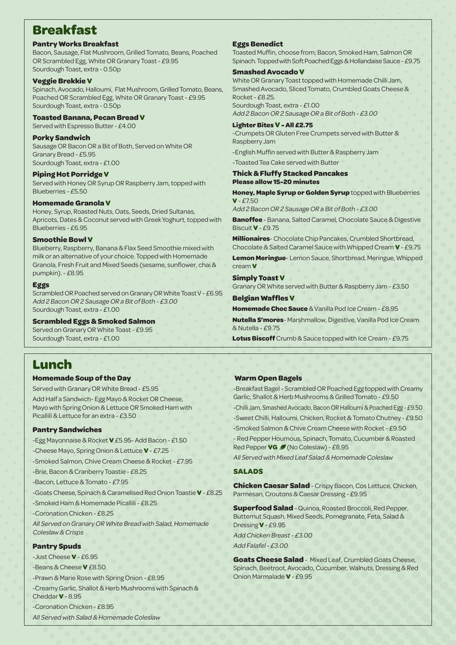# **Breakfast**

#### **Pantry Works Breakfast**

Bacon, Sausage, Flat Mushroom, Grilled Tomato, Beans, Poached OR Scrambled Egg, White OR Granary Toast - £9.95 Sourdough Toast, extra - 0.50p

### **Veggie Brekkie V**

Spinach, Avocado, Halloumi, Flat Mushroom, Grilled Tomato, Beans, Poached OR Scrambled Egg, White OR Granary Toast - £9.95 Sourdough Toast, extra - 0.50p

#### **Toasted Banana, Pecan Bread V**

Served with Espresso Butter - £4.00

#### **Porky Sandwich**

Sausage OR Bacon OR a Bit of Both, Served on White OR Granary Bread - £5.95 Sourdough Toast, extra - £1.00

#### **Piping Hot Porridge V**

Served with Honey OR Syrup OR Raspberry Jam, topped with Blueberries - £5.50

#### **Homemade Granola V**

Honey, Syrup, Roasted Nuts, Oats, Seeds, Dried Sultanas, Apricots, Dates & Coconut served with Greek Yoghurt, topped with Blueberries - £6.95

### **Smoothie Bowl V**

Blueberry, Raspberry, Banana & Flax Seed Smoothie mixed with milk or an alternative of your choice. Topped with Homemade Granola, Fresh Fruit and Mixed Seeds (sesame, sunflower, chai & pumpkin). - £8.95

#### **Eggs**

Scrambled OR Poached served on Granary OR White Toast V - £6.95 Add 2 Bacon OR 2 Sausage OR a Bit of Both - £3.00 Sourdough Toast, extra - £1.00

# **Scrambled Eggs & Smoked Salmon**

Served on Granary OR White Toast - £9.95 Sourdough Toast, extra - £1.00

# **Lunch**

# **Homemade Soup of the Day**

Served with Granary OR White Bread - £5.95 Add Half a Sandwich- Egg Mayo & Rocket OR Cheese, Mayo with Spring Onion & Lettuce OR Smoked Ham with Picallili & Lettuce for an extra - £3.50

# **Pantry Sandwiches**

-Egg Mayonnaise & Rocket **V** £5.95- Add Bacon - £1.50

-Cheese Mayo, Spring Onion & Lettuce **V** - £7.25

-Smoked Salmon, Chive Cream Cheese & Rocket - £7.95

-Brie, Bacon & Cranberry Toastie - £8.25

-Bacon, Lettuce & Tomato - £7.95

-Goats Cheese, Spinach & Caramelised Red Onion Toastie **V** - £8.25

-Smoked Ham & Homemade Picallili - £8.25

-Coronation Chicken - £8.25

All Served on Granary OR White Bread with Salad, Homemade Coleslaw & Crisps

# **Pantry Spuds**

-Just Cheese **V** - £6.95

-Beans & Cheese **V** £8.50

-Prawn & Marie Rose with Spring Onion - £8.95

-Creamy Garlic, Shallot & Herb Mushrooms with Spinach &

Cheddar **V** - 8.95

-Coronation Chicken - £8.95

All Served with Salad & Homemade Coleslaw

# **Eggs Benedict**

Toasted Muffin, choose from; Bacon, Smoked Ham, Salmon OR Spinach. Topped with Soft Poached Eggs & Hollandaise Sauce - £9.75

#### **Smashed Avocado V**

White OR Granary Toast topped with Homemade Chilli Jam, Smashed Avocado, Sliced Tomato, Crumbled Goats Cheese & Rocket - £8.25. Sourdough Toast, extra - £1.00

Add 2 Bacon OR 2 Sausage OR a Bit of Both - £3.00

# **Lighter Bites V - All £2.75**

-Crumpets OR Gluten Free Crumpets served with Butter & Raspberry Jam

-English Muffin served with Butter & Raspberry Jam

-Toasted Tea Cake served with Butter

#### **Thick & Fluffy Stacked Pancakes Please allow 15-20 minutes**

**Honey, Maple Syrup or Golden Syrup** topped with Blueberries  $V - F7.50$ 

Add 2 Bacon OR 2 Sausage OR a Bit of Both - £3.00

**Banoffee** - Banana, Salted Caramel, Chocolate Sauce & Digestive Biscuit **V** - £9.75

**Millionaires**- Chocolate Chip Pancakes, Crumbled Shortbread, Chocolate & Salted Caramel Sauce with Whipped Cream **V** - £9.75

**Lemon Meringue**- Lemon Sauce, Shortbread, Meringue, Whipped cream **V**

#### **Simply Toast V**

Granary OR White served with Butter & Raspberry Jam - £3.50

#### **Belgian Waffles V**

**Homemade Choc Sauce** & Vanilla Pod Ice Cream - £8.95

**Nutella S'mores**- Marshmallow, Digestive, Vanilla Pod Ice Cream  $&$  Nutella -  $f9.75$ 

**Lotus Biscoff** Crumb & Sauce topped with Ice Cream - £9.75

# **Warm Open Bagels**

-Breakfast Bagel - Scrambled OR Poached Egg topped with Creamy Garlic, Shallot & Herb Mushrooms & Grilled Tomato - £9.50

-Chilli Jam, Smashed Avocado, Bacon OR Halloumi & Poached Egg - £9.50

-Sweet Chilli, Halloumi, Chicken, Rocket & Tomato Chutney - £9.50

-Smoked Salmon & Chive Cream Cheese with Rocket - £9.50

- Red Pepper Houmous, Spinach, Tomato, Cucumber & Roasted Red Pepper **VG** (No Coleslaw) - £8.95

All Served with Mixed Leaf Salad & Homemade Coleslaw

# **SALADS**

**Chicken Caesar Salad**- Crispy Bacon, Cos Lettuce, Chicken, Parmesan, Croutons & Caesar Dressing - £9.95

**Superfood Salad** - Quinoa, Roasted Broccoli, Red Pepper, Butternut Squash, Mixed Seeds, Pomegranate, Feta, Salad & Dressing **V** - £9.95

Add Chicken Breast - £3.00

Add Falafel - £3.00

**Goats Cheese Salad** - Mixed Leaf, Crumbled Goats Cheese, Spinach, Beetroot, Avocado, Cucumber, Walnuts, Dressing & Red Onion Marmalade **V** - £9.95